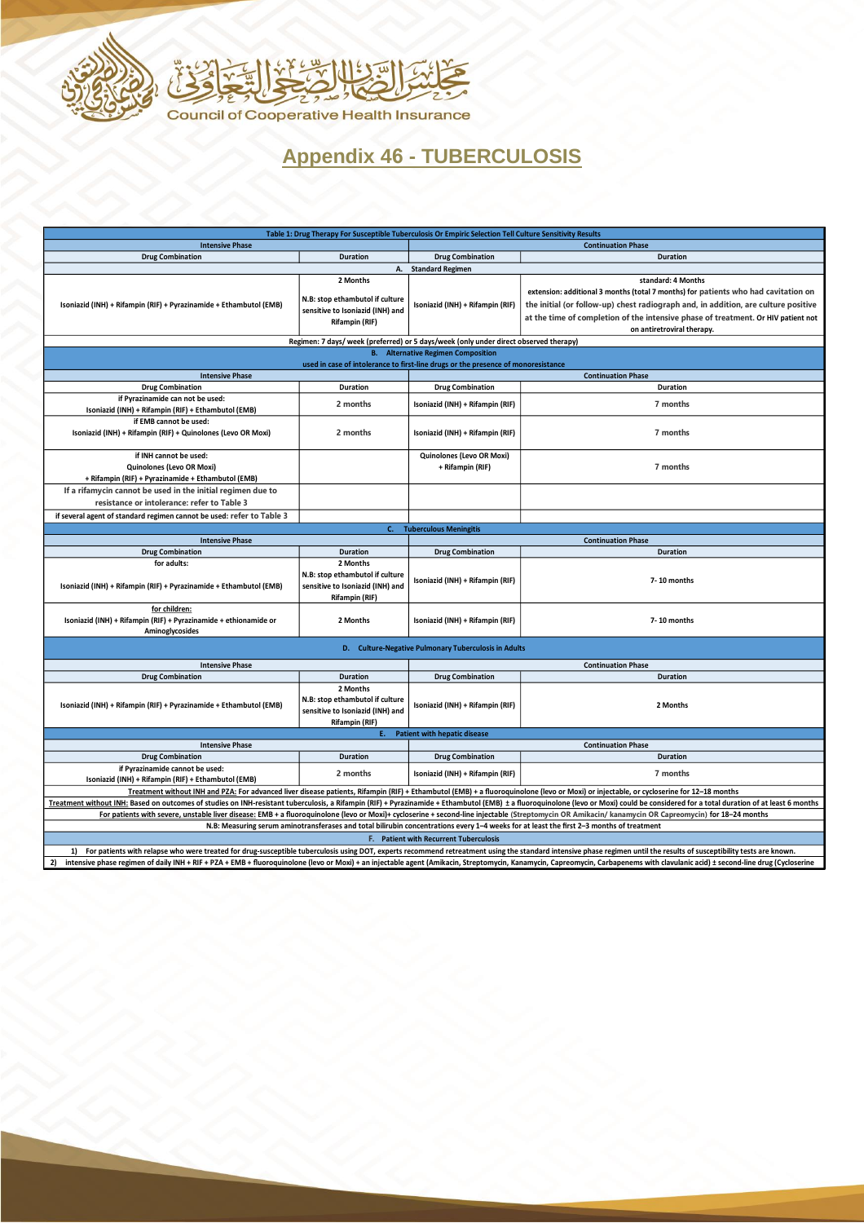



## **Appendix 46 - TUBERCULOSIS**

| Table 1: Drug Therapy For Susceptible Tuberculosis Or Empiric Selection Tell Culture Sensitivity Results                                                                                                                      |                                                                                                          |                                                                                       |                                                                                                                                                                                                                                                                                                                   |  |
|-------------------------------------------------------------------------------------------------------------------------------------------------------------------------------------------------------------------------------|----------------------------------------------------------------------------------------------------------|---------------------------------------------------------------------------------------|-------------------------------------------------------------------------------------------------------------------------------------------------------------------------------------------------------------------------------------------------------------------------------------------------------------------|--|
| <b>Intensive Phase</b>                                                                                                                                                                                                        |                                                                                                          | <b>Continuation Phase</b>                                                             |                                                                                                                                                                                                                                                                                                                   |  |
| <b>Drug Combination</b>                                                                                                                                                                                                       | <b>Duration</b>                                                                                          | <b>Drug Combination</b>                                                               | <b>Duration</b>                                                                                                                                                                                                                                                                                                   |  |
|                                                                                                                                                                                                                               |                                                                                                          | A. Standard Regimen                                                                   |                                                                                                                                                                                                                                                                                                                   |  |
| Isoniazid (INH) + Rifampin (RIF) + Pyrazinamide + Ethambutol (EMB)                                                                                                                                                            | 2 Months<br>N.B: stop ethambutol if culture<br>sensitive to Isoniazid (INH) and<br><b>Rifampin (RIF)</b> | Isoniazid (INH) + Rifampin (RIF)                                                      | standard: 4 Months<br>extension: additional 3 months (total 7 months) for patients who had cavitation on<br>the initial (or follow-up) chest radiograph and, in addition, are culture positive<br>at the time of completion of the intensive phase of treatment. Or HIV patient not<br>on antiretroviral therapy. |  |
|                                                                                                                                                                                                                               |                                                                                                          | Regimen: 7 days/ week (preferred) or 5 days/week (only under direct observed therapy) |                                                                                                                                                                                                                                                                                                                   |  |
|                                                                                                                                                                                                                               |                                                                                                          | <b>B.</b> Alternative Regimen Composition                                             |                                                                                                                                                                                                                                                                                                                   |  |
| used in case of intolerance to first-line drugs or the presence of monoresistance                                                                                                                                             |                                                                                                          |                                                                                       |                                                                                                                                                                                                                                                                                                                   |  |
| <b>Intensive Phase</b>                                                                                                                                                                                                        |                                                                                                          |                                                                                       | <b>Continuation Phase</b>                                                                                                                                                                                                                                                                                         |  |
| <b>Drug Combination</b>                                                                                                                                                                                                       | Duration                                                                                                 | <b>Drug Combination</b>                                                               | <b>Duration</b>                                                                                                                                                                                                                                                                                                   |  |
| if Pyrazinamide can not be used:<br>Isoniazid (INH) + Rifampin (RIF) + Ethambutol (EMB)                                                                                                                                       | 2 months                                                                                                 | Isoniazid (INH) + Rifampin (RIF)                                                      | 7 months                                                                                                                                                                                                                                                                                                          |  |
| if EMB cannot be used:<br>Isoniazid (INH) + Rifampin (RIF) + Quinolones (Levo OR Moxi)                                                                                                                                        | 2 months                                                                                                 | Isoniazid (INH) + Rifampin (RIF)                                                      | 7 months                                                                                                                                                                                                                                                                                                          |  |
| if INH cannot be used:<br>Quinolones (Levo OR Moxi)<br>+ Rifampin (RIF) + Pyrazinamide + Ethambutol (EMB)                                                                                                                     |                                                                                                          | Quinolones (Levo OR Moxi)<br>+ Rifampin (RIF)                                         | 7 months                                                                                                                                                                                                                                                                                                          |  |
| If a rifamycin cannot be used in the initial regimen due to                                                                                                                                                                   |                                                                                                          |                                                                                       |                                                                                                                                                                                                                                                                                                                   |  |
| resistance or intolerance: refer to Table 3                                                                                                                                                                                   |                                                                                                          |                                                                                       |                                                                                                                                                                                                                                                                                                                   |  |
| if several agent of standard regimen cannot be used: refer to Table 3                                                                                                                                                         |                                                                                                          |                                                                                       |                                                                                                                                                                                                                                                                                                                   |  |
|                                                                                                                                                                                                                               | $C_{n}$                                                                                                  | <b>Tuberculous Meningitis</b>                                                         |                                                                                                                                                                                                                                                                                                                   |  |
| <b>Intensive Phase</b>                                                                                                                                                                                                        | <b>Duration</b>                                                                                          |                                                                                       | <b>Continuation Phase</b>                                                                                                                                                                                                                                                                                         |  |
| <b>Drug Combination</b><br>for adults:                                                                                                                                                                                        | 2 Months                                                                                                 | <b>Drug Combination</b>                                                               | <b>Duration</b>                                                                                                                                                                                                                                                                                                   |  |
| Isoniazid (INH) + Rifampin (RIF) + Pyrazinamide + Ethambutol (EMB)                                                                                                                                                            | N.B: stop ethambutol if culture<br>sensitive to Isoniazid (INH) and<br><b>Rifampin (RIF)</b>             | Isoniazid (INH) + Rifampin (RIF)                                                      | 7-10 months                                                                                                                                                                                                                                                                                                       |  |
| for children:<br>Isoniazid (INH) + Rifampin (RIF) + Pyrazinamide + ethionamide or<br>Aminoglycosides                                                                                                                          | 2 Months                                                                                                 | Isoniazid (INH) + Rifampin (RIF)                                                      | 7-10 months                                                                                                                                                                                                                                                                                                       |  |
| D. Culture-Negative Pulmonary Tuberculosis in Adults                                                                                                                                                                          |                                                                                                          |                                                                                       |                                                                                                                                                                                                                                                                                                                   |  |
| <b>Intensive Phase</b>                                                                                                                                                                                                        |                                                                                                          |                                                                                       | <b>Continuation Phase</b>                                                                                                                                                                                                                                                                                         |  |
| <b>Drug Combination</b>                                                                                                                                                                                                       | <b>Duration</b>                                                                                          | <b>Drug Combination</b>                                                               | <b>Duration</b>                                                                                                                                                                                                                                                                                                   |  |
| Isoniazid (INH) + Rifampin (RIF) + Pyrazinamide + Ethambutol (EMB)                                                                                                                                                            | 2 Months<br>N.B: stop ethambutol if culture<br>sensitive to Isoniazid (INH) and<br><b>Rifampin (RIF)</b> | Isoniazid (INH) + Rifampin (RIF)                                                      | 2 Months                                                                                                                                                                                                                                                                                                          |  |
| Ε.<br><b>Patient with hepatic disease</b>                                                                                                                                                                                     |                                                                                                          |                                                                                       |                                                                                                                                                                                                                                                                                                                   |  |
| <b>Intensive Phase</b><br><b>Continuation Phase</b>                                                                                                                                                                           |                                                                                                          |                                                                                       |                                                                                                                                                                                                                                                                                                                   |  |
| <b>Drug Combination</b>                                                                                                                                                                                                       | <b>Duration</b>                                                                                          | <b>Drug Combination</b>                                                               | <b>Duration</b>                                                                                                                                                                                                                                                                                                   |  |
| if Pyrazinamide cannot be used:<br>Isoniazid (INH) + Rifampin (RIF) + Ethambutol (EMB)                                                                                                                                        | 2 months                                                                                                 | Isoniazid (INH) + Rifampin (RIF)                                                      | 7 months                                                                                                                                                                                                                                                                                                          |  |
| Treatment without INH and PZA: For advanced liver disease patients, Rifampin (RIF) + Ethambutol (EMB) + a fluoroquinolone (levo or Moxi) or injectable, or cycloserine for 12-18 months                                       |                                                                                                          |                                                                                       |                                                                                                                                                                                                                                                                                                                   |  |
| Treatment without INH: Based on outcomes of studies on INH-resistant tuberculosis, a Rifampin (RIF) + Pyrazinamide + Ethambutol (EMB) ± a fluoroquinolone (levo or Moxi) could be considered for a total duration of at least |                                                                                                          |                                                                                       |                                                                                                                                                                                                                                                                                                                   |  |
| For patients with severe, unstable liver disease: EMB + a fluoroquinolone (levo or Moxi)+ cycloserine + second-line injectable (Streptomycin OR Amikacin/ kanamycin OR Capreomycin) for 18-24 months                          |                                                                                                          |                                                                                       |                                                                                                                                                                                                                                                                                                                   |  |
| N.B: Measuring serum aminotransferases and total bilirubin concentrations every 1-4 weeks for at least the first 2-3 months of treatment                                                                                      |                                                                                                          |                                                                                       |                                                                                                                                                                                                                                                                                                                   |  |
| <b>F.</b> Patient with Recurrent Tuberculosis                                                                                                                                                                                 |                                                                                                          |                                                                                       |                                                                                                                                                                                                                                                                                                                   |  |
| 1) For patients with relapse who were treated for drug-susceptible tuberculosis using DOT, experts recommend retreatment using the standard intensive phase regimen until the results of susceptibility tests are known.      |                                                                                                          |                                                                                       |                                                                                                                                                                                                                                                                                                                   |  |

2) intensive phase regimen of daily INH + RIF + PZA + EMB + fluoroquinolone (levo or Moxi) + an injectable agent (Amikacin, Streptomycin, Kanamycin, Capreomycin, Carbapenems with clavulanic acid) ± second-line drug (Cyclos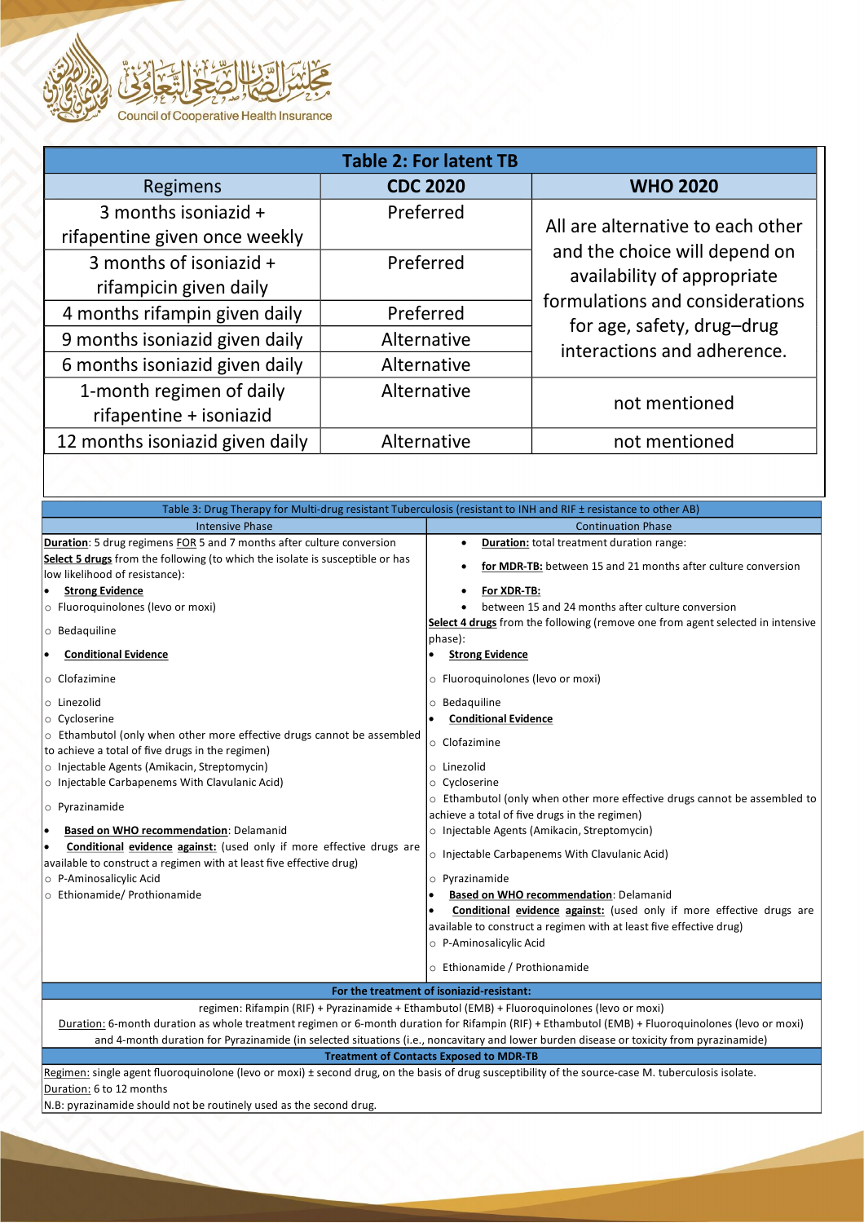

| <b>Table 2: For latent TB</b>                         |                 |                                                               |  |  |
|-------------------------------------------------------|-----------------|---------------------------------------------------------------|--|--|
| Regimens                                              | <b>CDC 2020</b> | <b>WHO 2020</b>                                               |  |  |
| 3 months isoniazid +<br>rifapentine given once weekly | Preferred       | All are alternative to each other                             |  |  |
| 3 months of isoniazid +<br>rifampicin given daily     | Preferred       | and the choice will depend on<br>availability of appropriate  |  |  |
| 4 months rifampin given daily                         | Preferred       | formulations and considerations<br>for age, safety, drug-drug |  |  |
| 9 months isoniazid given daily                        | Alternative     | interactions and adherence.                                   |  |  |
| 6 months isoniazid given daily                        | Alternative     |                                                               |  |  |
| 1-month regimen of daily<br>rifapentine + isoniazid   | Alternative     | not mentioned                                                 |  |  |
| 12 months isoniazid given daily                       | Alternative     | not mentioned                                                 |  |  |
|                                                       |                 |                                                               |  |  |

| Table 3: Drug Therapy for Multi-drug resistant Tuberculosis (resistant to INH and RIF ± resistance to other AB)                                                                                                                                                                                                                                                                                                                                                                                                                                                                                                                                                                                                                                                                                                                                                                              |                                                                                                                                                                                                                                                                                                                                                                                                                                                                                                                                                                                                                                                                                                                                                                                                                                                                                                                        |  |  |  |
|----------------------------------------------------------------------------------------------------------------------------------------------------------------------------------------------------------------------------------------------------------------------------------------------------------------------------------------------------------------------------------------------------------------------------------------------------------------------------------------------------------------------------------------------------------------------------------------------------------------------------------------------------------------------------------------------------------------------------------------------------------------------------------------------------------------------------------------------------------------------------------------------|------------------------------------------------------------------------------------------------------------------------------------------------------------------------------------------------------------------------------------------------------------------------------------------------------------------------------------------------------------------------------------------------------------------------------------------------------------------------------------------------------------------------------------------------------------------------------------------------------------------------------------------------------------------------------------------------------------------------------------------------------------------------------------------------------------------------------------------------------------------------------------------------------------------------|--|--|--|
| <b>Intensive Phase</b>                                                                                                                                                                                                                                                                                                                                                                                                                                                                                                                                                                                                                                                                                                                                                                                                                                                                       | <b>Continuation Phase</b>                                                                                                                                                                                                                                                                                                                                                                                                                                                                                                                                                                                                                                                                                                                                                                                                                                                                                              |  |  |  |
| Duration: 5 drug regimens FOR 5 and 7 months after culture conversion<br>Select 5 drugs from the following (to which the isolate is susceptible or has<br>low likelihood of resistance):<br><b>Strong Evidence</b><br>o Fluoroquinolones (levo or moxi)<br>o Bedaquiline<br><b>Conditional Evidence</b><br>o Clofazimine<br>o Linezolid<br>$\circ$ Cycloserine<br>o Ethambutol (only when other more effective drugs cannot be assembled<br>to achieve a total of five drugs in the regimen)<br>o Injectable Agents (Amikacin, Streptomycin)<br>$\circ$ Injectable Carbapenems With Clavulanic Acid)<br>$\circ$ Pyrazinamide<br>Based on WHO recommendation: Delamanid<br>lo<br>Conditional evidence against: (used only if more effective drugs are<br>I۰<br>available to construct a regimen with at least five effective drug)<br>o P-Aminosalicylic Acid<br>o Ethionamide/ Prothionamide | Duration: total treatment duration range:<br>$\bullet$<br>for MDR-TB: between 15 and 21 months after culture conversion<br>For XDR-TB:<br>between 15 and 24 months after culture conversion<br>Select 4 drugs from the following (remove one from agent selected in intensive<br>phase):<br><b>Strong Evidence</b><br>o Fluoroquinolones (levo or moxi)<br>o Bedaquiline<br><b>Conditional Evidence</b><br>$\circ$ Clofazimine<br>o Linezolid<br>o Cycloserine<br>$\circ$ Ethambutol (only when other more effective drugs cannot be assembled to<br>achieve a total of five drugs in the regimen)<br>o Injectable Agents (Amikacin, Streptomycin)<br>o Injectable Carbapenems With Clavulanic Acid)<br>o Pyrazinamide<br>Based on WHO recommendation: Delamanid<br><b>Conditional evidence against:</b> (used only if more effective drugs are<br>available to construct a regimen with at least five effective drug) |  |  |  |
|                                                                                                                                                                                                                                                                                                                                                                                                                                                                                                                                                                                                                                                                                                                                                                                                                                                                                              | O P-Aminosalicylic Acid                                                                                                                                                                                                                                                                                                                                                                                                                                                                                                                                                                                                                                                                                                                                                                                                                                                                                                |  |  |  |
|                                                                                                                                                                                                                                                                                                                                                                                                                                                                                                                                                                                                                                                                                                                                                                                                                                                                                              | o Ethionamide / Prothionamide                                                                                                                                                                                                                                                                                                                                                                                                                                                                                                                                                                                                                                                                                                                                                                                                                                                                                          |  |  |  |
| For the treatment of isoniazid-resistant:                                                                                                                                                                                                                                                                                                                                                                                                                                                                                                                                                                                                                                                                                                                                                                                                                                                    |                                                                                                                                                                                                                                                                                                                                                                                                                                                                                                                                                                                                                                                                                                                                                                                                                                                                                                                        |  |  |  |
| regimen: Rifampin (RIF) + Pyrazinamide + Ethambutol (EMB) + Fluoroquinolones (levo or moxi)<br>Duration: 6-month duration as whole treatment regimen or 6-month duration for Rifampin (RIF) + Ethambutol (EMB) + Fluoroquinolones (levo or moxi)<br>and 4-month duration for Pyrazinamide (in selected situations (i.e., noncavitary and lower burden disease or toxicity from pyrazinamide)<br><b>Treatment of Contacts Exposed to MDR-TB</b>                                                                                                                                                                                                                                                                                                                                                                                                                                               |                                                                                                                                                                                                                                                                                                                                                                                                                                                                                                                                                                                                                                                                                                                                                                                                                                                                                                                        |  |  |  |

Regimen: single agent fluoroquinolone (levo or moxi) ± second drug, on the basis of drug susceptibility of the source-case M. tuberculosis isolate. Duration: 6 to 12 months

N.B: pyrazinamide should not be routinely used as the second drug.